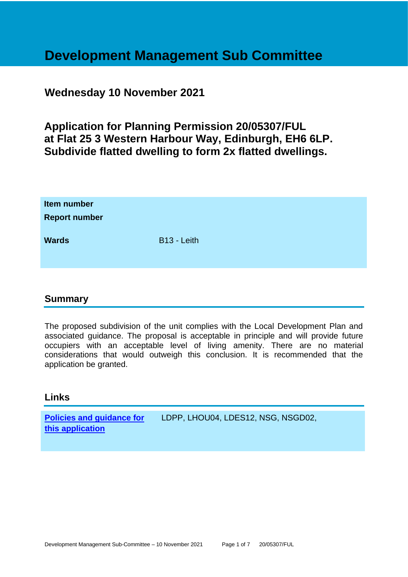## **Development Management Sub Committee**

### **Wednesday 10 November 2021**

### **Application for Planning Permission 20/05307/FUL at Flat 25 3 Western Harbour Way, Edinburgh, EH6 6LP. Subdivide flatted dwelling to form 2x flatted dwellings.**

| Item number<br><b>Report number</b> |                         |
|-------------------------------------|-------------------------|
| <b>Wards</b>                        | B <sub>13</sub> - Leith |

### **Summary**

The proposed subdivision of the unit complies with the Local Development Plan and associated guidance. The proposal is acceptable in principle and will provide future occupiers with an acceptable level of living amenity. There are no material considerations that would outweigh this conclusion. It is recommended that the application be granted.

### **Links**

**[Policies and guidance for](file:///C:/uniform/temp/uf04148.rtf%23Policies)  [this application](file:///C:/uniform/temp/uf04148.rtf%23Policies)** LDPP, LHOU04, LDES12, NSG, NSGD02,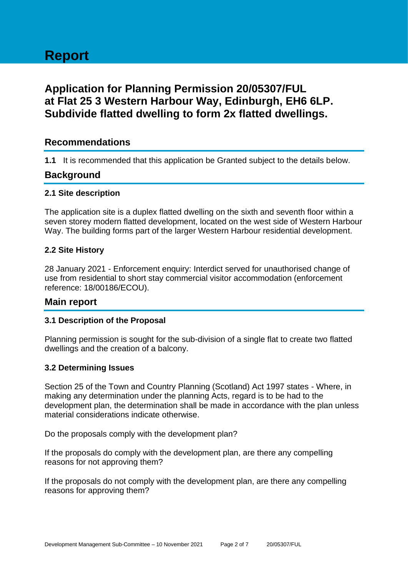# **Report**

### **Application for Planning Permission 20/05307/FUL at Flat 25 3 Western Harbour Way, Edinburgh, EH6 6LP. Subdivide flatted dwelling to form 2x flatted dwellings.**

### **Recommendations**

**1.1** It is recommended that this application be Granted subject to the details below.

### **Background**

#### **2.1 Site description**

The application site is a duplex flatted dwelling on the sixth and seventh floor within a seven storey modern flatted development, located on the west side of Western Harbour Way. The building forms part of the larger Western Harbour residential development.

### **2.2 Site History**

28 January 2021 - Enforcement enquiry: Interdict served for unauthorised change of use from residential to short stay commercial visitor accommodation (enforcement reference: 18/00186/ECOU).

### **Main report**

### **3.1 Description of the Proposal**

Planning permission is sought for the sub-division of a single flat to create two flatted dwellings and the creation of a balcony.

#### **3.2 Determining Issues**

Section 25 of the Town and Country Planning (Scotland) Act 1997 states - Where, in making any determination under the planning Acts, regard is to be had to the development plan, the determination shall be made in accordance with the plan unless material considerations indicate otherwise.

Do the proposals comply with the development plan?

If the proposals do comply with the development plan, are there any compelling reasons for not approving them?

If the proposals do not comply with the development plan, are there any compelling reasons for approving them?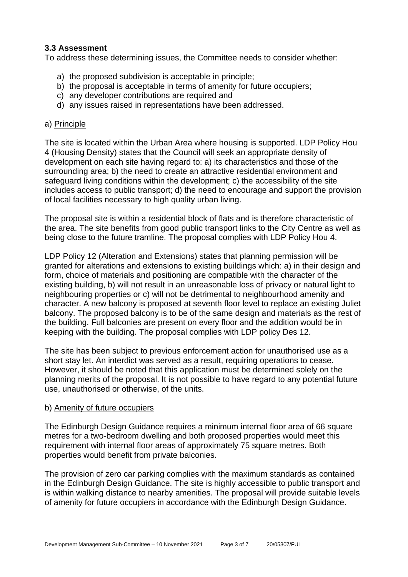### **3.3 Assessment**

To address these determining issues, the Committee needs to consider whether:

- a) the proposed subdivision is acceptable in principle;
- b) the proposal is acceptable in terms of amenity for future occupiers;
- c) any developer contributions are required and
- d) any issues raised in representations have been addressed.

### a) Principle

The site is located within the Urban Area where housing is supported. LDP Policy Hou 4 (Housing Density) states that the Council will seek an appropriate density of development on each site having regard to: a) its characteristics and those of the surrounding area; b) the need to create an attractive residential environment and safeguard living conditions within the development; c) the accessibility of the site includes access to public transport; d) the need to encourage and support the provision of local facilities necessary to high quality urban living.

The proposal site is within a residential block of flats and is therefore characteristic of the area. The site benefits from good public transport links to the City Centre as well as being close to the future tramline. The proposal complies with LDP Policy Hou 4.

LDP Policy 12 (Alteration and Extensions) states that planning permission will be granted for alterations and extensions to existing buildings which: a) in their design and form, choice of materials and positioning are compatible with the character of the existing building, b) will not result in an unreasonable loss of privacy or natural light to neighbouring properties or c) will not be detrimental to neighbourhood amenity and character. A new balcony is proposed at seventh floor level to replace an existing Juliet balcony. The proposed balcony is to be of the same design and materials as the rest of the building. Full balconies are present on every floor and the addition would be in keeping with the building. The proposal complies with LDP policy Des 12.

The site has been subject to previous enforcement action for unauthorised use as a short stay let. An interdict was served as a result, requiring operations to cease. However, it should be noted that this application must be determined solely on the planning merits of the proposal. It is not possible to have regard to any potential future use, unauthorised or otherwise, of the units.

### b) Amenity of future occupiers

The Edinburgh Design Guidance requires a minimum internal floor area of 66 square metres for a two-bedroom dwelling and both proposed properties would meet this requirement with internal floor areas of approximately 75 square metres. Both properties would benefit from private balconies.

The provision of zero car parking complies with the maximum standards as contained in the Edinburgh Design Guidance. The site is highly accessible to public transport and is within walking distance to nearby amenities. The proposal will provide suitable levels of amenity for future occupiers in accordance with the Edinburgh Design Guidance.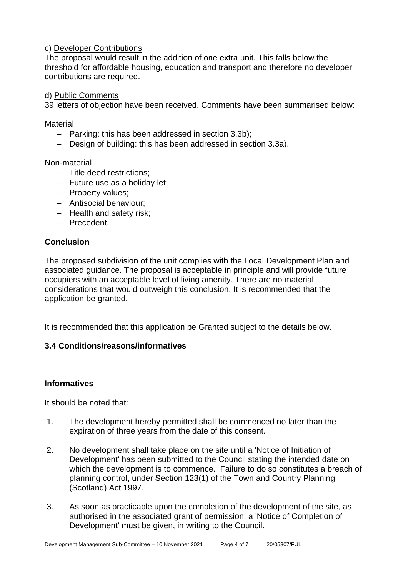### c) Developer Contributions

The proposal would result in the addition of one extra unit. This falls below the threshold for affordable housing, education and transport and therefore no developer contributions are required.

#### d) Public Comments

39 letters of objection have been received. Comments have been summarised below:

**Material** 

- − Parking: this has been addressed in section 3.3b);
- − Design of building: this has been addressed in section 3.3a).

Non-material

- − Title deed restrictions;
- − Future use as a holiday let;
- − Property values;
- − Antisocial behaviour;
- − Health and safety risk;
- − Precedent.

### **Conclusion**

The proposed subdivision of the unit complies with the Local Development Plan and associated guidance. The proposal is acceptable in principle and will provide future occupiers with an acceptable level of living amenity. There are no material considerations that would outweigh this conclusion. It is recommended that the application be granted.

It is recommended that this application be Granted subject to the details below.

### **3.4 Conditions/reasons/informatives**

### **Informatives**

It should be noted that:

- 1. The development hereby permitted shall be commenced no later than the expiration of three years from the date of this consent.
- 2. No development shall take place on the site until a 'Notice of Initiation of Development' has been submitted to the Council stating the intended date on which the development is to commence. Failure to do so constitutes a breach of planning control, under Section 123(1) of the Town and Country Planning (Scotland) Act 1997.
- 3. As soon as practicable upon the completion of the development of the site, as authorised in the associated grant of permission, a 'Notice of Completion of Development' must be given, in writing to the Council.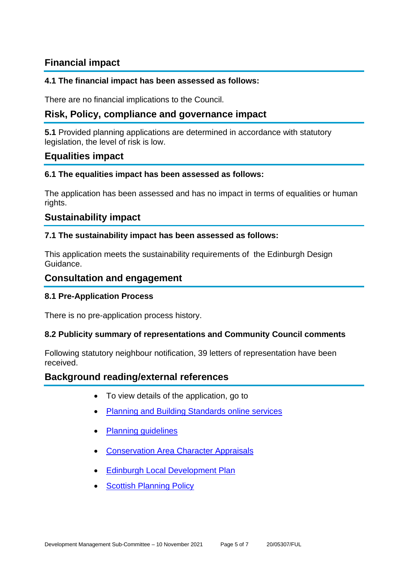### **Financial impact**

### **4.1 The financial impact has been assessed as follows:**

There are no financial implications to the Council.

### **Risk, Policy, compliance and governance impact**

**5.1** Provided planning applications are determined in accordance with statutory legislation, the level of risk is low.

### **Equalities impact**

### **6.1 The equalities impact has been assessed as follows:**

The application has been assessed and has no impact in terms of equalities or human rights.

### **Sustainability impact**

### **7.1 The sustainability impact has been assessed as follows:**

This application meets the sustainability requirements of the Edinburgh Design Guidance.

### **Consultation and engagement**

### **8.1 Pre-Application Process**

There is no pre-application process history.

### **8.2 Publicity summary of representations and Community Council comments**

Following statutory neighbour notification, 39 letters of representation have been received.

### **Background reading/external references**

- To view details of the application, go to
- [Planning and Building Standards online services](https://citydev-portal.edinburgh.gov.uk/idoxpa-web/search.do?action=simple&searchType=Application)
- Planning quidelines
- [Conservation Area Character Appraisals](http://www.edinburgh.gov.uk/characterappraisals)
- **[Edinburgh Local Development Plan](http://www.edinburgh.gov.uk/localdevelopmentplan)**
- **[Scottish Planning Policy](http://www.scotland.gov.uk/Topics/Built-Environment/planning/Policy)**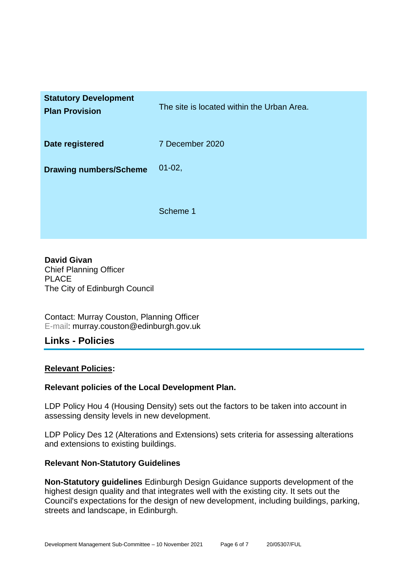| <b>Statutory Development</b><br><b>Plan Provision</b> | The site is located within the Urban Area. |
|-------------------------------------------------------|--------------------------------------------|
| Date registered                                       | 7 December 2020                            |
| <b>Drawing numbers/Scheme</b>                         | $01-02,$                                   |
|                                                       | Scheme 1                                   |

**David Givan** Chief Planning Officer PLACE The City of Edinburgh Council

Contact: Murray Couston, Planning Officer E-mail: murray.couston@edinburgh.gov.uk

### **Links - Policies**

### **Relevant Policies:**

### **Relevant policies of the Local Development Plan.**

LDP Policy Hou 4 (Housing Density) sets out the factors to be taken into account in assessing density levels in new development.

LDP Policy Des 12 (Alterations and Extensions) sets criteria for assessing alterations and extensions to existing buildings.

### **Relevant Non-Statutory Guidelines**

**Non-Statutory guidelines** Edinburgh Design Guidance supports development of the highest design quality and that integrates well with the existing city. It sets out the Council's expectations for the design of new development, including buildings, parking, streets and landscape, in Edinburgh.